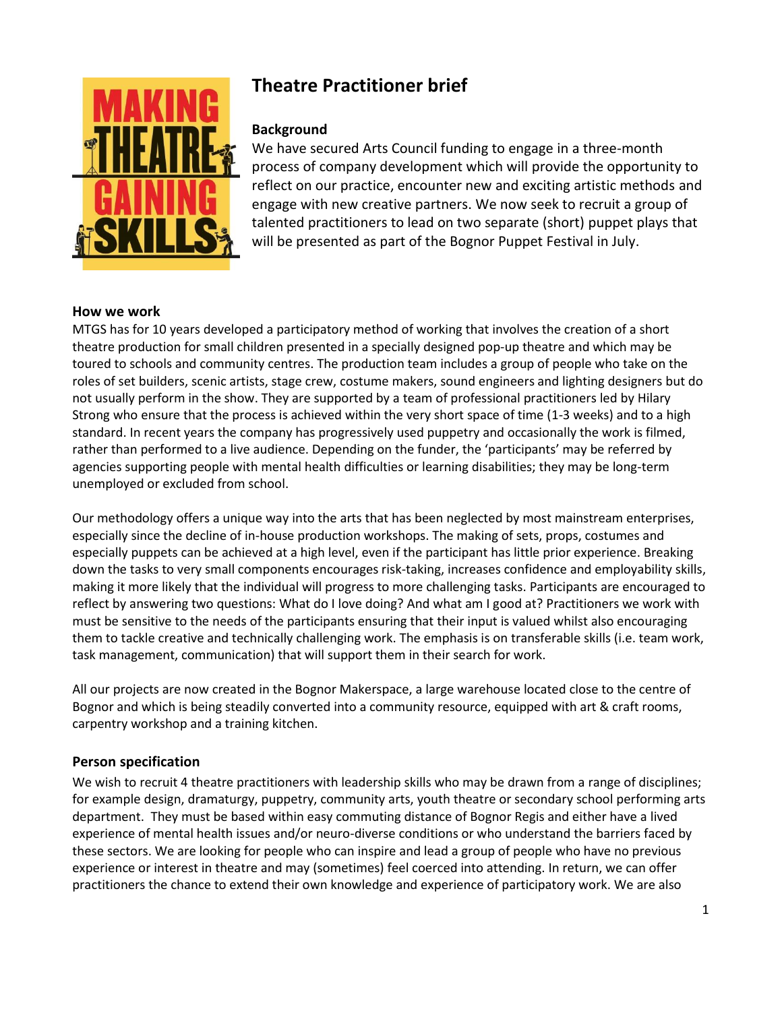

# **Theatre Practitioner brief**

## **Background**

We have secured Arts Council funding to engage in a three-month process of company development which will provide the opportunity to reflect on our practice, encounter new and exciting artistic methods and engage with new creative partners. We now seek to recruit a group of talented practitioners to lead on two separate (short) puppet plays that will be presented as part of the Bognor Puppet Festival in July.

#### **How we work**

MTGS has for 10 years developed a participatory method of working that involves the creation of a short theatre production for small children presented in a specially designed pop-up theatre and which may be toured to schools and community centres. The production team includes a group of people who take on the roles of set builders, scenic artists, stage crew, costume makers, sound engineers and lighting designers but do not usually perform in the show. They are supported by a team of professional practitioners led by Hilary Strong who ensure that the process is achieved within the very short space of time (1-3 weeks) and to a high standard. In recent years the company has progressively used puppetry and occasionally the work is filmed, rather than performed to a live audience. Depending on the funder, the 'participants' may be referred by agencies supporting people with mental health difficulties or learning disabilities; they may be long-term unemployed or excluded from school.

Our methodology offers a unique way into the arts that has been neglected by most mainstream enterprises, especially since the decline of in-house production workshops. The making of sets, props, costumes and especially puppets can be achieved at a high level, even if the participant has little prior experience. Breaking down the tasks to very small components encourages risk-taking, increases confidence and employability skills, making it more likely that the individual will progress to more challenging tasks. Participants are encouraged to reflect by answering two questions: What do I love doing? And what am I good at? Practitioners we work with must be sensitive to the needs of the participants ensuring that their input is valued whilst also encouraging them to tackle creative and technically challenging work. The emphasis is on transferable skills (i.e. team work, task management, communication) that will support them in their search for work.

All our projects are now created in the Bognor Makerspace, a large warehouse located close to the centre of Bognor and which is being steadily converted into a community resource, equipped with art & craft rooms, carpentry workshop and a training kitchen.

### **Person specification**

We wish to recruit 4 theatre practitioners with leadership skills who may be drawn from a range of disciplines; for example design, dramaturgy, puppetry, community arts, youth theatre or secondary school performing arts department. They must be based within easy commuting distance of Bognor Regis and either have a lived experience of mental health issues and/or neuro-diverse conditions or who understand the barriers faced by these sectors. We are looking for people who can inspire and lead a group of people who have no previous experience or interest in theatre and may (sometimes) feel coerced into attending. In return, we can offer practitioners the chance to extend their own knowledge and experience of participatory work. We are also